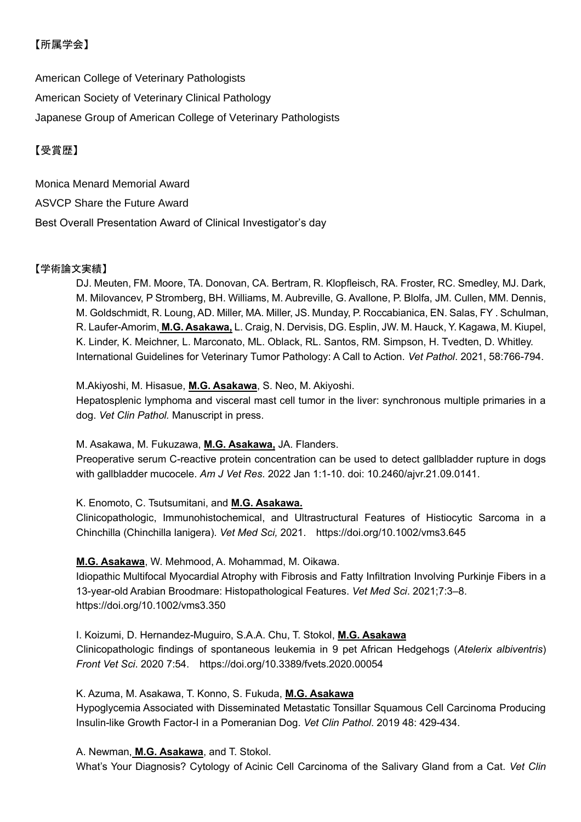# 【所属学会】

American College of Veterinary Pathologists American Society of Veterinary Clinical Pathology Japanese Group of American College of Veterinary Pathologists

## 【受賞歴】

Monica Menard Memorial Award ASVCP Share the Future Award Best Overall Presentation Award of Clinical Investigator's day

## 【学術論文実績】

DJ. Meuten, FM. Moore, TA. Donovan, CA. Bertram, R. Klopfleisch, RA. Froster, RC. Smedley, MJ. Dark, M. Milovancev, P Stromberg, BH. Williams, M. Aubreville, G. Avallone, P. Blolfa, JM. Cullen, MM. Dennis, M. Goldschmidt, R. Loung, AD. Miller, MA. Miller, JS. Munday, P. Roccabianica, EN. Salas, FY . Schulman, R. Laufer-Amorim, **M.G. Asakawa,** L. Craig, N. Dervisis, DG. Esplin, JW. M. Hauck, Y. Kagawa, M. Kiupel, K. Linder, K. Meichner, L. Marconato, ML. Oblack, RL. Santos, RM. Simpson, H. Tvedten, D. Whitley. International Guidelines for Veterinary Tumor Pathology: A Call to Action. *Vet Pathol*. 2021, 58:766-794.

#### M.Akiyoshi, M. Hisasue, **M.G. Asakawa**, S. Neo, M. Akiyoshi.

Hepatosplenic lymphoma and visceral mast cell tumor in the liver: synchronous multiple primaries in a dog. *Vet Clin Pathol.* Manuscript in press.

#### M. Asakawa, M. Fukuzawa, **M.G. Asakawa,** JA. Flanders.

Preoperative serum C-reactive protein concentration can be used to detect gallbladder rupture in dogs with gallbladder mucocele. *Am J Vet Res*. 2022 Jan 1:1-10. doi: 10.2460/ajvr.21.09.0141.

#### K. Enomoto, C. Tsutsumitani, and **M.G. Asakawa.**

Clinicopathologic, Immunohistochemical, and Ultrastructural Features of Histiocytic Sarcoma in a Chinchilla (Chinchilla lanigera). *Vet Med Sci,* 2021. https://doi.org/10.1002/vms3.645

## **M.G. Asakawa**, W. Mehmood, A. Mohammad, M. Oikawa.

Idiopathic Multifocal Myocardial Atrophy with Fibrosis and Fatty Infiltration Involving Purkinje Fibers in a 13-year-old Arabian Broodmare: Histopathological Features. *Vet Med Sci*. 2021;7:3–8. https://doi.org/10.1002/vms3.350

I. Koizumi, D. Hernandez-Muguiro, S.A.A. Chu, T. Stokol, **M.G. Asakawa**

Clinicopathologic findings of spontaneous leukemia in 9 pet African Hedgehogs (*Atelerix albiventris*) *Front Vet Sci*. 2020 7:54. https://doi.org/10.3389/fvets.2020.00054

#### K. Azuma, M. Asakawa, T. Konno, S. Fukuda, **M.G. Asakawa**

Hypoglycemia Associated with Disseminated Metastatic Tonsillar Squamous Cell Carcinoma Producing Insulin-like Growth Factor-I in a Pomeranian Dog. *Vet Clin Pathol*. 2019 48: 429-434.

#### A. Newman, **M.G. Asakawa**, and T. Stokol.

What's Your Diagnosis? Cytology of Acinic Cell Carcinoma of the Salivary Gland from a Cat. *Vet Clin*